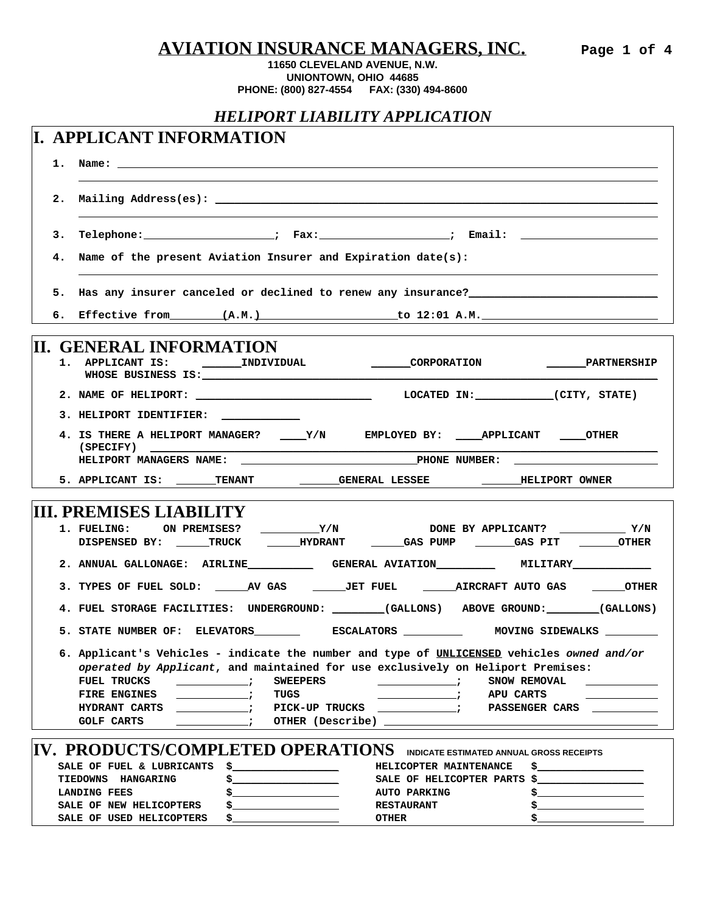**AVIATION INSURANCE MANAGERS, INC. Page 1 of 4**

## **11650 CLEVELAND AVENUE, N.W. UNIONTOWN, OHIO 44685 PHONE: (800) 827-4554 FAX: (330) 494-8600**

## *HELIPORT LIABILITY APPLICATION*

|    | I. APPLICANT INFORMATION                                                                                                                                                                                                                                                                                                                                                                                                                                                                         |  |  |  |  |
|----|--------------------------------------------------------------------------------------------------------------------------------------------------------------------------------------------------------------------------------------------------------------------------------------------------------------------------------------------------------------------------------------------------------------------------------------------------------------------------------------------------|--|--|--|--|
|    |                                                                                                                                                                                                                                                                                                                                                                                                                                                                                                  |  |  |  |  |
| 2. |                                                                                                                                                                                                                                                                                                                                                                                                                                                                                                  |  |  |  |  |
| 3. | Telephone: _______________________; Fax:___________________; Email: ____________________                                                                                                                                                                                                                                                                                                                                                                                                         |  |  |  |  |
|    | 4. Name of the present Aviation Insurer and Expiration date(s):                                                                                                                                                                                                                                                                                                                                                                                                                                  |  |  |  |  |
|    | 5. Has any insurer canceled or declined to renew any insurance? The manuscription of the state of the state of                                                                                                                                                                                                                                                                                                                                                                                   |  |  |  |  |
|    | 6. Effective from (A.M.) to 12:01 A.M.                                                                                                                                                                                                                                                                                                                                                                                                                                                           |  |  |  |  |
|    | II. GENERAL INFORMATION<br><b>CORPORATION</b><br>1. APPLICANT IS: INDIVIDUAL<br><b>PARTNERSHIP</b><br>WHOSE BUSINESS IS: Network of the state of the state of the state of the state of the state of the state of the state of the state of the state of the state of the state of the state of the state of the state of the state                                                                                                                                                              |  |  |  |  |
|    | 2. NAME OF HELIPORT: LOCATED IN: (CITY, STATE)                                                                                                                                                                                                                                                                                                                                                                                                                                                   |  |  |  |  |
|    | 3. HELIPORT IDENTIFIER: ____________                                                                                                                                                                                                                                                                                                                                                                                                                                                             |  |  |  |  |
|    | 4. IS THERE A HELIPORT MANAGER? _____Y/N EMPLOYED BY: _____APPLICANT _____OTHER<br>$(SPECTFY)$ $\qquad \qquad$<br>HELIPORT MANAGERS NAME:                                                                                                                                                                                                                                                                                                                                                        |  |  |  |  |
|    | 5. APPLICANT IS: _______TENANT __________GENERAL LESSEE ____________HELIPORT OWNER                                                                                                                                                                                                                                                                                                                                                                                                               |  |  |  |  |
|    |                                                                                                                                                                                                                                                                                                                                                                                                                                                                                                  |  |  |  |  |
|    | <b>III. PREMISES LIABILITY</b><br>$Y/N$ DONE BY APPLICANT? $Y/N$<br>1. FUELING: ON PREMISES?<br>DISPENSED BY: _____TRUCK ______HYDRANT ______GAS PUMP _______GAS PIT _______OTHER                                                                                                                                                                                                                                                                                                                |  |  |  |  |
|    | 2. ANNUAL GALLONAGE: AIRLINE GENERAL AVIATION MILITARY MILITARY                                                                                                                                                                                                                                                                                                                                                                                                                                  |  |  |  |  |
|    | 3. TYPES OF FUEL SOLD: ______AV GAS ________JET FUEL ________AIRCRAFT AUTO GAS _______OTHER                                                                                                                                                                                                                                                                                                                                                                                                      |  |  |  |  |
|    | 4. FUEL STORAGE FACILITIES: UNDERGROUND: _______(GALLONS) ABOVE GROUND: _______(GALLONS)                                                                                                                                                                                                                                                                                                                                                                                                         |  |  |  |  |
|    | 5. STATE NUMBER OF: ELEVATORS _________ ESCALATORS ___________ MOVING SIDEWALKS ______                                                                                                                                                                                                                                                                                                                                                                                                           |  |  |  |  |
|    | 6. Applicant's Vehicles - indicate the number and type of UNLICENSED vehicles owned and/or<br>operated by Applicant, and maintained for use exclusively on Heliport Premises:<br>FUEL TRUCKS<br><b>SWEEPERS</b><br>SNOW REMOVAL<br>TUGS<br><b>FIRE ENGINES</b><br><b>APU CARTS</b><br>$\overline{\phantom{a}}$ , and the set of $\overline{\phantom{a}}$<br><b>HYDRANT CARTS</b><br>PICK-UP TRUCKS<br><b>PASSENGER CARS</b><br>$\overline{\phantom{a}}$<br>OTHER (Describe)<br><b>GOLF CARTS</b> |  |  |  |  |
|    | IV. PRODUCTS/COMPLETED OPERATIONS INDICATE ESTIMATED ANNUAL GROSS RECEIPTS                                                                                                                                                                                                                                                                                                                                                                                                                       |  |  |  |  |
|    | SALE OF FUEL & LUBRICANTS<br>\$_<br>HELICOPTER MAINTENANCE<br>TIEDOWNS HANGARING<br>SALE OF HELICOPTER PARTS<br>s_<br><b>LANDING FEES</b><br><b>AUTO PARKING</b><br>SALE OF NEW HELICOPTERS<br><b>RESTAURANT</b>                                                                                                                                                                                                                                                                                 |  |  |  |  |
|    | SALE OF USED HELICOPTERS<br><b>OTHER</b>                                                                                                                                                                                                                                                                                                                                                                                                                                                         |  |  |  |  |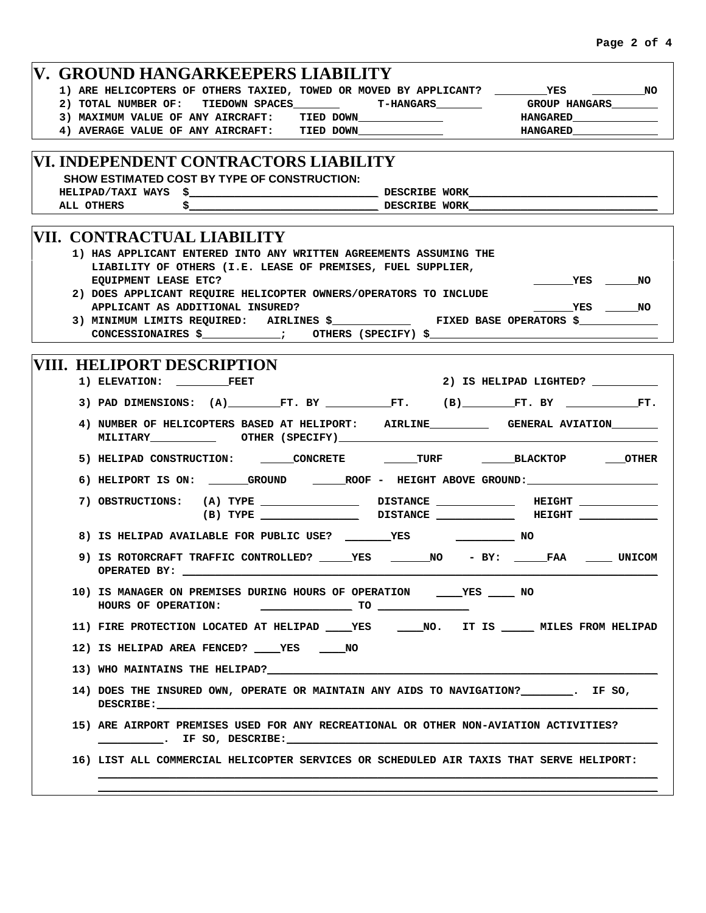| V. GROUND HANGARKEEPERS LIABILITY                                                                                                                                                                                                                                 |                                                                                                                                                                                                                                                                                                                                                                                                                                                                                 |
|-------------------------------------------------------------------------------------------------------------------------------------------------------------------------------------------------------------------------------------------------------------------|---------------------------------------------------------------------------------------------------------------------------------------------------------------------------------------------------------------------------------------------------------------------------------------------------------------------------------------------------------------------------------------------------------------------------------------------------------------------------------|
| 2) TOTAL NUMBER OF: TIEDOWN SPACES ________ T-HANGARS_______                                                                                                                                                                                                      | 1) ARE HELICOPTERS OF OTHERS TAXIED, TOWED OR MOVED BY APPLICANT? __________YES _____________NO<br>GROUP HANGARS________                                                                                                                                                                                                                                                                                                                                                        |
| 3) MAXIMUM VALUE OF ANY AIRCRAFT: TIED DOWN_____________                                                                                                                                                                                                          |                                                                                                                                                                                                                                                                                                                                                                                                                                                                                 |
| 4) AVERAGE VALUE OF ANY AIRCRAFT: TIED DOWN_______________                                                                                                                                                                                                        | <b>HANGARED</b>                                                                                                                                                                                                                                                                                                                                                                                                                                                                 |
|                                                                                                                                                                                                                                                                   |                                                                                                                                                                                                                                                                                                                                                                                                                                                                                 |
| VI. INDEPENDENT CONTRACTORS LIABILITY<br>SHOW ESTIMATED COST BY TYPE OF CONSTRUCTION:<br>ALL OTHERS                                                                                                                                                               | $\sim$ DESCRIBE WORK                                                                                                                                                                                                                                                                                                                                                                                                                                                            |
| VII. CONTRACTUAL LIABILITY<br><b>1) HAS APPLICANT ENTERED INTO ANY WRITTEN AGREEMENTS ASSUMING THE</b><br>LIABILITY OF OTHERS (I.E. LEASE OF PREMISES, FUEL SUPPLIER,<br>EQUIPMENT LEASE ETC?<br>2) DOES APPLICANT REQUIRE HELICOPTER OWNERS/OPERATORS TO INCLUDE | VES NO                                                                                                                                                                                                                                                                                                                                                                                                                                                                          |
| APPLICANT AS ADDITIONAL INSURED?<br>CONCESSIONAIRES \$ _____________; OTHERS (SPECIFY) \$ ____________________________                                                                                                                                            | <b>TES</b> NO<br>3) MINIMUM LIMITS REQUIRED: AIRLINES \$_______________ FIXED BASE OPERATORS \$___________                                                                                                                                                                                                                                                                                                                                                                      |
|                                                                                                                                                                                                                                                                   |                                                                                                                                                                                                                                                                                                                                                                                                                                                                                 |
| <b>VIII. HELIPORT DESCRIPTION</b>                                                                                                                                                                                                                                 | 2) IS HELIPAD LIGHTED? __________                                                                                                                                                                                                                                                                                                                                                                                                                                               |
|                                                                                                                                                                                                                                                                   | 3) PAD DIMENSIONS: $(A)$ FT. BY THE FT. (B) FT. BY T. BY                                                                                                                                                                                                                                                                                                                                                                                                                        |
| MILITARY OTHER (SPECIFY)                                                                                                                                                                                                                                          | 4) NUMBER OF HELICOPTERS BASED AT HELIPORT: AIRLINE____________ GENERAL AVIATION_______                                                                                                                                                                                                                                                                                                                                                                                         |
|                                                                                                                                                                                                                                                                   | 5) HELIPAD CONSTRUCTION: _______CONCRETE ________TURF ________BLACKTOP ______OTHER                                                                                                                                                                                                                                                                                                                                                                                              |
|                                                                                                                                                                                                                                                                   | 6) HELIPORT IS ON: ________GROUND ________ROOF - HEIGHT ABOVE GROUND:_______________________________                                                                                                                                                                                                                                                                                                                                                                            |
|                                                                                                                                                                                                                                                                   |                                                                                                                                                                                                                                                                                                                                                                                                                                                                                 |
|                                                                                                                                                                                                                                                                   |                                                                                                                                                                                                                                                                                                                                                                                                                                                                                 |
| OPERATED BY: _________                                                                                                                                                                                                                                            | 9) IS ROTORCRAFT TRAFFIC CONTROLLED? ______YES _______NO - BY: _____FAA ______ UNICOM                                                                                                                                                                                                                                                                                                                                                                                           |
| 10) IS MANAGER ON PREMISES DURING HOURS OF OPERATION ____________________________ NO<br>HOURS OF OPERATION:                                                                                                                                                       | $\overline{\phantom{a}}$ $\overline{\phantom{a}}$ $\overline{\phantom{a}}$ $\overline{\phantom{a}}$ $\overline{\phantom{a}}$ $\overline{\phantom{a}}$ $\overline{\phantom{a}}$ $\overline{\phantom{a}}$ $\overline{\phantom{a}}$ $\overline{\phantom{a}}$ $\overline{\phantom{a}}$ $\overline{\phantom{a}}$ $\overline{\phantom{a}}$ $\overline{\phantom{a}}$ $\overline{\phantom{a}}$ $\overline{\phantom{a}}$ $\overline{\phantom{a}}$ $\overline{\phantom{a}}$ $\overline{\$ |
|                                                                                                                                                                                                                                                                   | 11) FIRE PROTECTION LOCATED AT HELIPAD ______YES _______NO. IT IS _______ MILES FROM HELIPAD                                                                                                                                                                                                                                                                                                                                                                                    |
| 12) IS HELIPAD AREA FENCED? _____YES ______NO                                                                                                                                                                                                                     |                                                                                                                                                                                                                                                                                                                                                                                                                                                                                 |
|                                                                                                                                                                                                                                                                   |                                                                                                                                                                                                                                                                                                                                                                                                                                                                                 |
| DESCRIBE:                                                                                                                                                                                                                                                         | 14) DOES THE INSURED OWN, OPERATE OR MAINTAIN ANY AIDS TO NAVIGATION? ________. IF SO,                                                                                                                                                                                                                                                                                                                                                                                          |
| 15) ARE AIRPORT PREMISES USED FOR ANY RECREATIONAL OR OTHER NON-AVIATION ACTIVITIES?                                                                                                                                                                              |                                                                                                                                                                                                                                                                                                                                                                                                                                                                                 |
|                                                                                                                                                                                                                                                                   | 16) LIST ALL COMMERCIAL HELICOPTER SERVICES OR SCHEDULED AIR TAXIS THAT SERVE HELIPORT:                                                                                                                                                                                                                                                                                                                                                                                         |
|                                                                                                                                                                                                                                                                   |                                                                                                                                                                                                                                                                                                                                                                                                                                                                                 |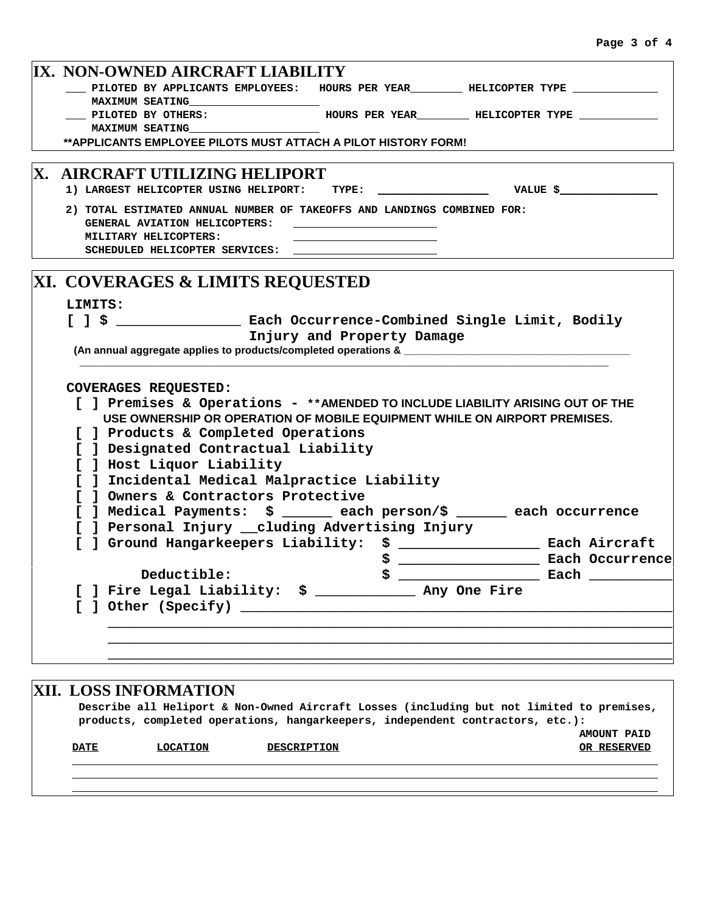|                                         | IX. NON-OWNED AIRCRAFT LIABILITY                                                                         |  |                                                                                                                                                                                                                                      |                 |  |  |  |  |
|-----------------------------------------|----------------------------------------------------------------------------------------------------------|--|--------------------------------------------------------------------------------------------------------------------------------------------------------------------------------------------------------------------------------------|-----------------|--|--|--|--|
|                                         | __ PILOTED BY APPLICANTS EMPLOYEES: HOURS PER YEAR________ HELICOPTER TYPE ____________                  |  |                                                                                                                                                                                                                                      |                 |  |  |  |  |
|                                         | MAXIMUM SEATING MAXIMUM                                                                                  |  |                                                                                                                                                                                                                                      |                 |  |  |  |  |
|                                         | PILOTED BY OTHERS:                                                                                       |  |                                                                                                                                                                                                                                      |                 |  |  |  |  |
|                                         | <b>MAXIMUM SEATING</b>                                                                                   |  |                                                                                                                                                                                                                                      |                 |  |  |  |  |
|                                         | ** APPLICANTS EMPLOYEE PILOTS MUST ATTACH A PILOT HISTORY FORM!                                          |  |                                                                                                                                                                                                                                      |                 |  |  |  |  |
| <b> X. \AIRCRAFT UTILIZING HELIPORT</b> |                                                                                                          |  |                                                                                                                                                                                                                                      |                 |  |  |  |  |
|                                         | 1) LARGEST HELICOPTER USING HELIPORT: TYPE:                                                              |  | <b>Example 19 Service State of Service State State State State State State State State State State State State State State State State State State State State State State State State State State State State State State State</b> |                 |  |  |  |  |
|                                         |                                                                                                          |  |                                                                                                                                                                                                                                      |                 |  |  |  |  |
|                                         | 2) TOTAL ESTIMATED ANNUAL NUMBER OF TAKEOFFS AND LANDINGS COMBINED FOR:<br>GENERAL AVIATION HELICOPTERS: |  |                                                                                                                                                                                                                                      |                 |  |  |  |  |
|                                         | MILITARY HELICOPTERS:                                                                                    |  |                                                                                                                                                                                                                                      |                 |  |  |  |  |
|                                         | SCHEDULED HELICOPTER SERVICES:                                                                           |  |                                                                                                                                                                                                                                      |                 |  |  |  |  |
|                                         |                                                                                                          |  |                                                                                                                                                                                                                                      |                 |  |  |  |  |
|                                         | XI. COVERAGES & LIMITS REQUESTED                                                                         |  |                                                                                                                                                                                                                                      |                 |  |  |  |  |
|                                         | LIMITS:                                                                                                  |  |                                                                                                                                                                                                                                      |                 |  |  |  |  |
|                                         | [ ] \$ _______________________ Each Occurrence-Combined Single Limit, Bodily                             |  |                                                                                                                                                                                                                                      |                 |  |  |  |  |
|                                         | Injury and Property Damage                                                                               |  |                                                                                                                                                                                                                                      |                 |  |  |  |  |
|                                         | (An annual aggregate applies to products/completed operations & ___________                              |  |                                                                                                                                                                                                                                      |                 |  |  |  |  |
|                                         |                                                                                                          |  |                                                                                                                                                                                                                                      |                 |  |  |  |  |
|                                         | <b>COVERAGES REQUESTED:</b>                                                                              |  |                                                                                                                                                                                                                                      |                 |  |  |  |  |
|                                         | [ ] Premises & Operations - **AMENDED TO INCLUDE LIABILITY ARISING OUT OF THE                            |  |                                                                                                                                                                                                                                      |                 |  |  |  |  |
|                                         | USE OWNERSHIP OR OPERATION OF MOBILE EQUIPMENT WHILE ON AIRPORT PREMISES.                                |  |                                                                                                                                                                                                                                      |                 |  |  |  |  |
|                                         | [ ] Products & Completed Operations                                                                      |  |                                                                                                                                                                                                                                      |                 |  |  |  |  |
|                                         | ] Designated Contractual Liability                                                                       |  |                                                                                                                                                                                                                                      |                 |  |  |  |  |
|                                         | ] Host Liquor Liability                                                                                  |  |                                                                                                                                                                                                                                      |                 |  |  |  |  |
|                                         | ] Incidental Medical Malpractice Liability                                                               |  |                                                                                                                                                                                                                                      |                 |  |  |  |  |
|                                         | ] Owners & Contractors Protective                                                                        |  |                                                                                                                                                                                                                                      |                 |  |  |  |  |
|                                         | ] Medical Payments: \$ ______ each person/\$ _____ each occurrence                                       |  |                                                                                                                                                                                                                                      |                 |  |  |  |  |
|                                         | ] Personal Injury __cluding Advertising Injury                                                           |  |                                                                                                                                                                                                                                      |                 |  |  |  |  |
|                                         | ] Ground Hangarkeepers Liability: \$ ________________ Each Aircraft                                      |  |                                                                                                                                                                                                                                      |                 |  |  |  |  |
|                                         |                                                                                                          |  |                                                                                                                                                                                                                                      | Each Occurrence |  |  |  |  |
|                                         | Deductible:                                                                                              |  |                                                                                                                                                                                                                                      |                 |  |  |  |  |
|                                         | ] Fire Legal Liability: \$ _____________ Any One Fire                                                    |  |                                                                                                                                                                                                                                      |                 |  |  |  |  |
|                                         |                                                                                                          |  |                                                                                                                                                                                                                                      |                 |  |  |  |  |
|                                         |                                                                                                          |  |                                                                                                                                                                                                                                      |                 |  |  |  |  |
|                                         |                                                                                                          |  |                                                                                                                                                                                                                                      |                 |  |  |  |  |
|                                         |                                                                                                          |  |                                                                                                                                                                                                                                      |                 |  |  |  |  |
|                                         |                                                                                                          |  |                                                                                                                                                                                                                                      |                 |  |  |  |  |

## **XII. LOSS INFORMATION Describe all Heliport & Non-Owned Aircraft Losses (including but not limited to premises, products, completed operations, hangarkeepers, independent contractors, etc.): AMOUNT PAID DATE LOCATION DESCRIPTION OR RESERVED \_\_\_\_\_\_\_\_\_\_\_\_\_\_\_\_\_\_\_\_\_\_\_\_\_\_\_\_\_\_\_\_\_\_\_\_\_\_\_\_\_\_\_\_\_\_\_\_\_\_\_\_\_\_\_\_\_\_\_\_\_\_\_\_\_\_\_\_\_\_\_\_\_\_\_\_\_\_\_\_\_\_\_\_\_\_\_\_\_\_ \_\_\_\_\_\_\_\_\_\_\_\_\_\_\_\_\_\_\_\_\_\_\_\_\_\_\_\_\_\_\_\_\_\_\_\_\_\_\_\_\_\_\_\_\_\_\_\_\_\_\_\_\_\_\_\_\_\_\_\_\_\_\_\_\_\_\_\_\_\_\_\_\_\_\_\_\_\_\_\_\_\_\_\_\_\_\_\_\_\_ \_\_\_\_\_\_\_\_\_\_\_\_\_\_\_\_\_\_\_\_\_\_\_\_\_\_\_\_\_\_\_\_\_\_\_\_\_\_\_\_\_\_\_\_\_\_\_\_\_\_\_\_\_\_\_\_\_\_\_\_\_\_\_\_\_\_\_\_\_\_\_\_\_\_\_\_\_\_\_\_\_\_\_\_\_\_\_\_\_\_**